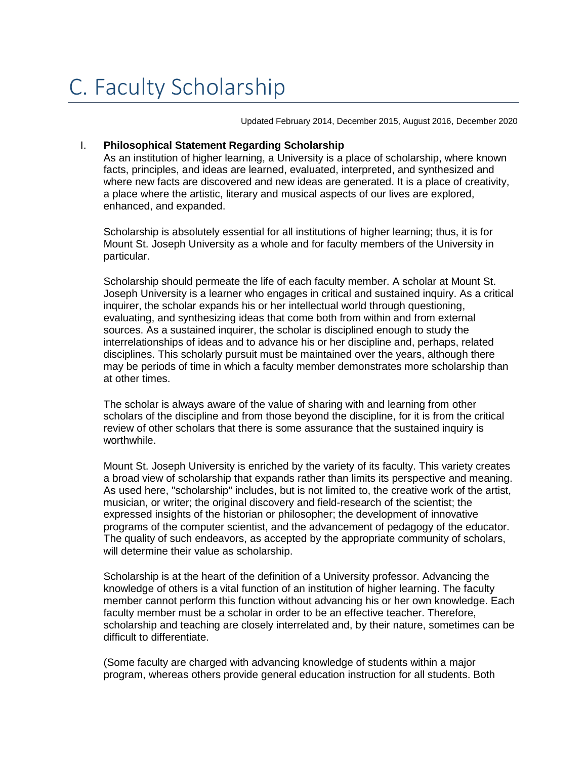Updated February 2014, December 2015, August 2016, December 2020

## I. **Philosophical Statement Regarding Scholarship**

As an institution of higher learning, a University is a place of scholarship, where known facts, principles, and ideas are learned, evaluated, interpreted, and synthesized and where new facts are discovered and new ideas are generated. It is a place of creativity, a place where the artistic, literary and musical aspects of our lives are explored, enhanced, and expanded.

Scholarship is absolutely essential for all institutions of higher learning; thus, it is for Mount St. Joseph University as a whole and for faculty members of the University in particular.

Scholarship should permeate the life of each faculty member. A scholar at Mount St. Joseph University is a learner who engages in critical and sustained inquiry. As a critical inquirer, the scholar expands his or her intellectual world through questioning, evaluating, and synthesizing ideas that come both from within and from external sources. As a sustained inquirer, the scholar is disciplined enough to study the interrelationships of ideas and to advance his or her discipline and, perhaps, related disciplines. This scholarly pursuit must be maintained over the years, although there may be periods of time in which a faculty member demonstrates more scholarship than at other times.

The scholar is always aware of the value of sharing with and learning from other scholars of the discipline and from those beyond the discipline, for it is from the critical review of other scholars that there is some assurance that the sustained inquiry is worthwhile.

Mount St. Joseph University is enriched by the variety of its faculty. This variety creates a broad view of scholarship that expands rather than limits its perspective and meaning. As used here, "scholarship" includes, but is not limited to, the creative work of the artist, musician, or writer; the original discovery and field-research of the scientist; the expressed insights of the historian or philosopher; the development of innovative programs of the computer scientist, and the advancement of pedagogy of the educator. The quality of such endeavors, as accepted by the appropriate community of scholars, will determine their value as scholarship.

Scholarship is at the heart of the definition of a University professor. Advancing the knowledge of others is a vital function of an institution of higher learning. The faculty member cannot perform this function without advancing his or her own knowledge. Each faculty member must be a scholar in order to be an effective teacher. Therefore, scholarship and teaching are closely interrelated and, by their nature, sometimes can be difficult to differentiate.

(Some faculty are charged with advancing knowledge of students within a major program, whereas others provide general education instruction for all students. Both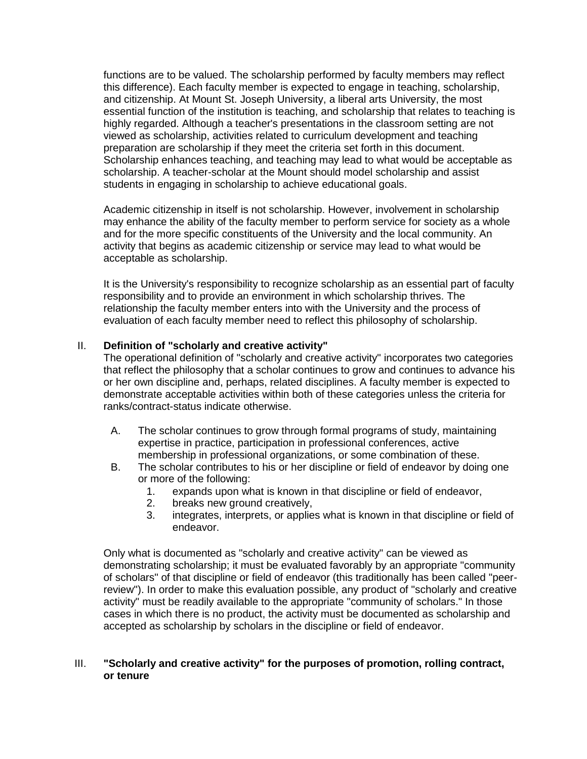functions are to be valued. The scholarship performed by faculty members may reflect this difference). Each faculty member is expected to engage in teaching, scholarship, and citizenship. At Mount St. Joseph University, a liberal arts University, the most essential function of the institution is teaching, and scholarship that relates to teaching is highly regarded. Although a teacher's presentations in the classroom setting are not viewed as scholarship, activities related to curriculum development and teaching preparation are scholarship if they meet the criteria set forth in this document. Scholarship enhances teaching, and teaching may lead to what would be acceptable as scholarship. A teacher-scholar at the Mount should model scholarship and assist students in engaging in scholarship to achieve educational goals.

Academic citizenship in itself is not scholarship. However, involvement in scholarship may enhance the ability of the faculty member to perform service for society as a whole and for the more specific constituents of the University and the local community. An activity that begins as academic citizenship or service may lead to what would be acceptable as scholarship.

It is the University's responsibility to recognize scholarship as an essential part of faculty responsibility and to provide an environment in which scholarship thrives. The relationship the faculty member enters into with the University and the process of evaluation of each faculty member need to reflect this philosophy of scholarship.

## II. **Definition of "scholarly and creative activity"**

The operational definition of "scholarly and creative activity" incorporates two categories that reflect the philosophy that a scholar continues to grow and continues to advance his or her own discipline and, perhaps, related disciplines. A faculty member is expected to demonstrate acceptable activities within both of these categories unless the criteria for ranks/contract-status indicate otherwise.

- A. The scholar continues to grow through formal programs of study, maintaining expertise in practice, participation in professional conferences, active membership in professional organizations, or some combination of these.
- B. The scholar contributes to his or her discipline or field of endeavor by doing one or more of the following:
	- 1. expands upon what is known in that discipline or field of endeavor,
	- 2. breaks new ground creatively,
	- 3. integrates, interprets, or applies what is known in that discipline or field of endeavor.

Only what is documented as "scholarly and creative activity" can be viewed as demonstrating scholarship; it must be evaluated favorably by an appropriate "community of scholars" of that discipline or field of endeavor (this traditionally has been called "peerreview"). In order to make this evaluation possible, any product of "scholarly and creative activity" must be readily available to the appropriate "community of scholars." In those cases in which there is no product, the activity must be documented as scholarship and accepted as scholarship by scholars in the discipline or field of endeavor.

## III. **"Scholarly and creative activity" for the purposes of promotion, rolling contract, or tenure**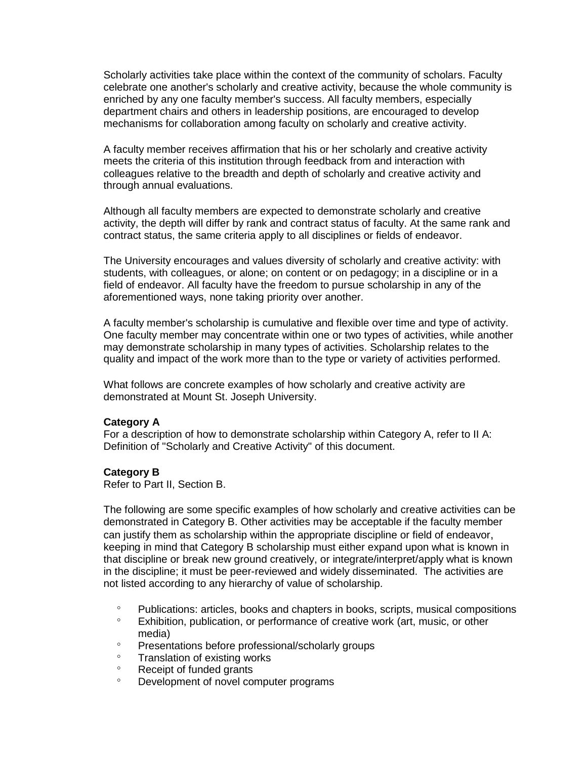Scholarly activities take place within the context of the community of scholars. Faculty celebrate one another's scholarly and creative activity, because the whole community is enriched by any one faculty member's success. All faculty members, especially department chairs and others in leadership positions, are encouraged to develop mechanisms for collaboration among faculty on scholarly and creative activity.

A faculty member receives affirmation that his or her scholarly and creative activity meets the criteria of this institution through feedback from and interaction with colleagues relative to the breadth and depth of scholarly and creative activity and through annual evaluations.

Although all faculty members are expected to demonstrate scholarly and creative activity, the depth will differ by rank and contract status of faculty. At the same rank and contract status, the same criteria apply to all disciplines or fields of endeavor.

The University encourages and values diversity of scholarly and creative activity: with students, with colleagues, or alone; on content or on pedagogy; in a discipline or in a field of endeavor. All faculty have the freedom to pursue scholarship in any of the aforementioned ways, none taking priority over another.

A faculty member's scholarship is cumulative and flexible over time and type of activity. One faculty member may concentrate within one or two types of activities, while another may demonstrate scholarship in many types of activities. Scholarship relates to the quality and impact of the work more than to the type or variety of activities performed.

What follows are concrete examples of how scholarly and creative activity are demonstrated at Mount St. Joseph University.

## **Category A**

For a description of how to demonstrate scholarship within Category A, refer to II A: Definition of "Scholarly and Creative Activity" of this document.

## **Category B**

Refer to Part II, Section B.

The following are some specific examples of how scholarly and creative activities can be demonstrated in Category B. Other activities may be acceptable if the faculty member can justify them as scholarship within the appropriate discipline or field of endeavor, keeping in mind that Category B scholarship must either expand upon what is known in that discipline or break new ground creatively, or integrate/interpret/apply what is known in the discipline; it must be peer-reviewed and widely disseminated. The activities are not listed according to any hierarchy of value of scholarship.

- Publications: articles, books and chapters in books, scripts, musical compositions
- Exhibition, publication, or performance of creative work (art, music, or other media)
- Presentations before professional/scholarly groups
- Translation of existing works
- Receipt of funded grants
- Development of novel computer programs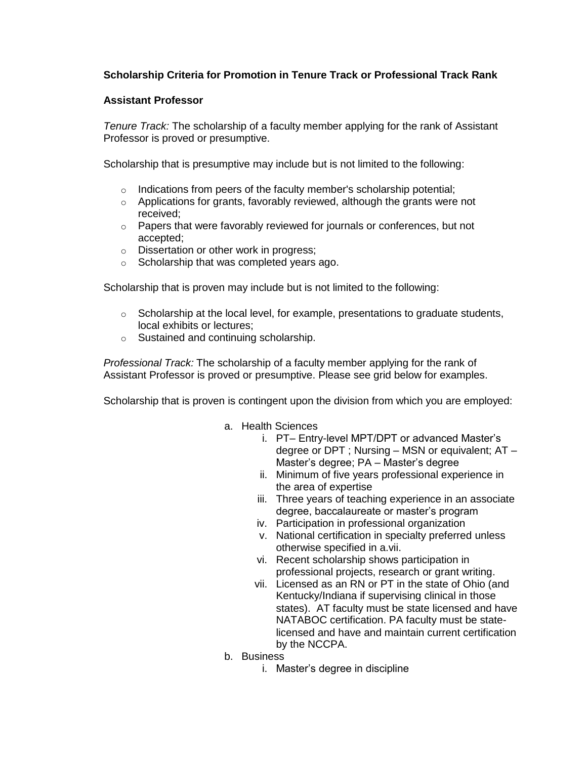# **Scholarship Criteria for Promotion in Tenure Track or Professional Track Rank**

## **Assistant Professor**

*Tenure Track:* The scholarship of a faculty member applying for the rank of Assistant Professor is proved or presumptive.

Scholarship that is presumptive may include but is not limited to the following:

- $\circ$  Indications from peers of the faculty member's scholarship potential;
- $\circ$  Applications for grants, favorably reviewed, although the grants were not received;
- $\circ$  Papers that were favorably reviewed for journals or conferences, but not accepted;
- o Dissertation or other work in progress;
- o Scholarship that was completed years ago.

Scholarship that is proven may include but is not limited to the following:

- $\circ$  Scholarship at the local level, for example, presentations to graduate students, local exhibits or lectures;
- o Sustained and continuing scholarship.

*Professional Track:* The scholarship of a faculty member applying for the rank of Assistant Professor is proved or presumptive. Please see grid below for examples.

Scholarship that is proven is contingent upon the division from which you are employed:

- a. Health Sciences
	- i. PT– Entry-level MPT/DPT or advanced Master's degree or DPT ; Nursing – MSN or equivalent; AT – Master's degree; PA – Master's degree
	- ii. Minimum of five years professional experience in the area of expertise
	- iii. Three years of teaching experience in an associate degree, baccalaureate or master's program
	- iv. Participation in professional organization
	- v. National certification in specialty preferred unless otherwise specified in a.vii.
	- vi. Recent scholarship shows participation in professional projects, research or grant writing.
	- vii. Licensed as an RN or PT in the state of Ohio (and Kentucky/Indiana if supervising clinical in those states). AT faculty must be state licensed and have NATABOC certification. PA faculty must be statelicensed and have and maintain current certification by the NCCPA.
- b. Business
	- i. Master's degree in discipline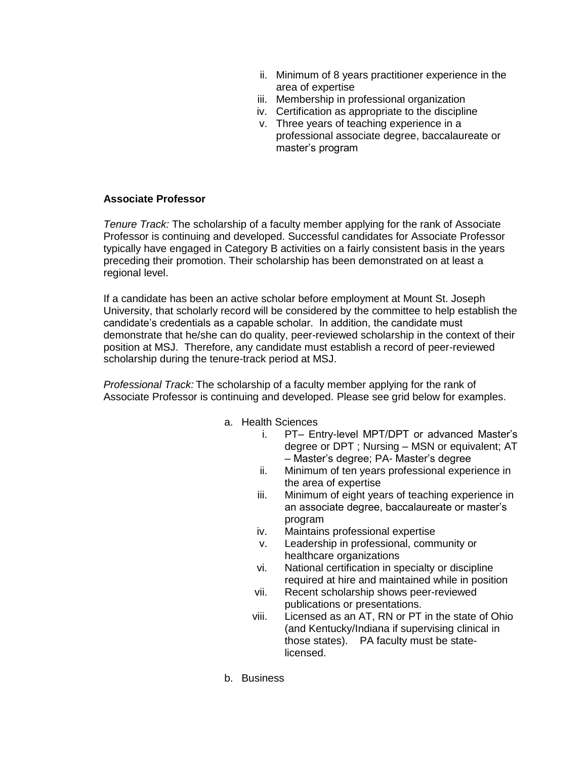- ii. Minimum of 8 years practitioner experience in the area of expertise
- iii. Membership in professional organization
- iv. Certification as appropriate to the discipline
- v. Three years of teaching experience in a professional associate degree, baccalaureate or master's program

## **Associate Professor**

*Tenure Track:* The scholarship of a faculty member applying for the rank of Associate Professor is continuing and developed. Successful candidates for Associate Professor typically have engaged in Category B activities on a fairly consistent basis in the years preceding their promotion. Their scholarship has been demonstrated on at least a regional level.

If a candidate has been an active scholar before employment at Mount St. Joseph University, that scholarly record will be considered by the committee to help establish the candidate's credentials as a capable scholar. In addition, the candidate must demonstrate that he/she can do quality, peer-reviewed scholarship in the context of their position at MSJ. Therefore, any candidate must establish a record of peer-reviewed scholarship during the tenure-track period at MSJ.

*Professional Track:* The scholarship of a faculty member applying for the rank of Associate Professor is continuing and developed. Please see grid below for examples.

- a. Health Sciences
	- i. PT– Entry-level MPT/DPT or advanced Master's degree or DPT ; Nursing – MSN or equivalent; AT – Master's degree; PA- Master's degree
	- ii. Minimum of ten years professional experience in the area of expertise
	- iii. Minimum of eight years of teaching experience in an associate degree, baccalaureate or master's program
	- iv. Maintains professional expertise
	- v. Leadership in professional, community or healthcare organizations
	- vi. National certification in specialty or discipline required at hire and maintained while in position
	- vii. Recent scholarship shows peer-reviewed publications or presentations.
	- viii. Licensed as an AT, RN or PT in the state of Ohio (and Kentucky/Indiana if supervising clinical in those states). PA faculty must be statelicensed.
- b. Business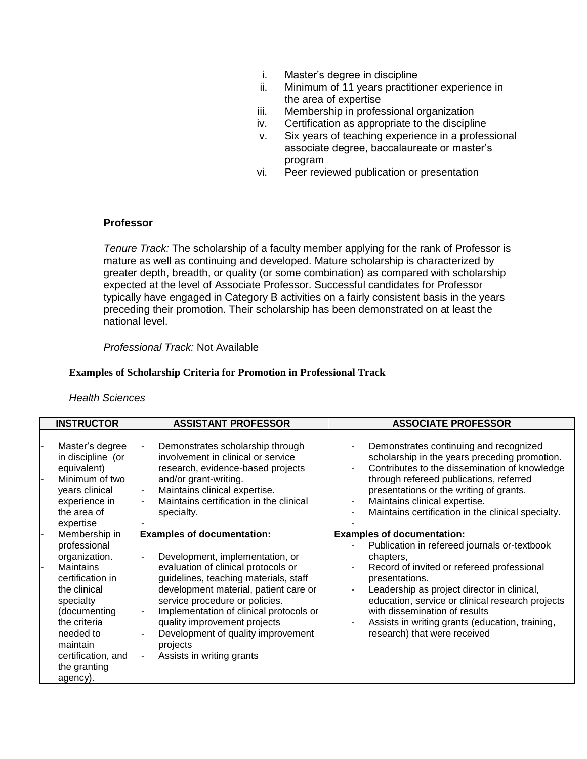- i. Master's degree in discipline
- ii. Minimum of 11 years practitioner experience in the area of expertise
- iii. Membership in professional organization
- iv. Certification as appropriate to the discipline
- v. Six years of teaching experience in a professional associate degree, baccalaureate or master's program
- vi. Peer reviewed publication or presentation

## **Professor**

*Tenure Track:* The scholarship of a faculty member applying for the rank of Professor is mature as well as continuing and developed. Mature scholarship is characterized by greater depth, breadth, or quality (or some combination) as compared with scholarship expected at the level of Associate Professor. Successful candidates for Professor typically have engaged in Category B activities on a fairly consistent basis in the years preceding their promotion. Their scholarship has been demonstrated on at least the national level.

*Professional Track:* Not Available

## **Examples of Scholarship Criteria for Promotion in Professional Track**

#### *Health Sciences*

| <b>INSTRUCTOR</b>                                                                                                                                                                                                              | <b>ASSISTANT PROFESSOR</b>                                                                                                                                                                                                                                                                                                                                                                                                                                     | <b>ASSOCIATE PROFESSOR</b>                                                                                                                                                                                                                                                                                                                                                                              |
|--------------------------------------------------------------------------------------------------------------------------------------------------------------------------------------------------------------------------------|----------------------------------------------------------------------------------------------------------------------------------------------------------------------------------------------------------------------------------------------------------------------------------------------------------------------------------------------------------------------------------------------------------------------------------------------------------------|---------------------------------------------------------------------------------------------------------------------------------------------------------------------------------------------------------------------------------------------------------------------------------------------------------------------------------------------------------------------------------------------------------|
| Master's degree<br>in discipline (or<br>equivalent)<br>Minimum of two<br>years clinical<br>experience in<br>the area of<br>expertise                                                                                           | Demonstrates scholarship through<br>$\blacksquare$<br>involvement in clinical or service<br>research, evidence-based projects<br>and/or grant-writing.<br>Maintains clinical expertise.<br>۰<br>Maintains certification in the clinical<br>specialty.                                                                                                                                                                                                          | Demonstrates continuing and recognized<br>scholarship in the years preceding promotion.<br>Contributes to the dissemination of knowledge<br>$\overline{\phantom{a}}$<br>through refereed publications, referred<br>presentations or the writing of grants.<br>Maintains clinical expertise.<br>$\overline{\phantom{a}}$<br>Maintains certification in the clinical specialty.                           |
| Membership in<br>professional<br>organization.<br><b>Maintains</b><br>certification in<br>the clinical<br>specialty<br>(documenting<br>the criteria<br>needed to<br>maintain<br>certification, and<br>the granting<br>agency). | <b>Examples of documentation:</b><br>Development, implementation, or<br>$\blacksquare$<br>evaluation of clinical protocols or<br>guidelines, teaching materials, staff<br>development material, patient care or<br>service procedure or policies.<br>Implementation of clinical protocols or<br>$\overline{\phantom{a}}$<br>quality improvement projects<br>Development of quality improvement<br>٠<br>projects<br>Assists in writing grants<br>$\blacksquare$ | <b>Examples of documentation:</b><br>Publication in refereed journals or-textbook<br>chapters,<br>Record of invited or refereed professional<br>$\blacksquare$<br>presentations.<br>Leadership as project director in clinical,<br>education, service or clinical research projects<br>with dissemination of results<br>Assists in writing grants (education, training,<br>research) that were received |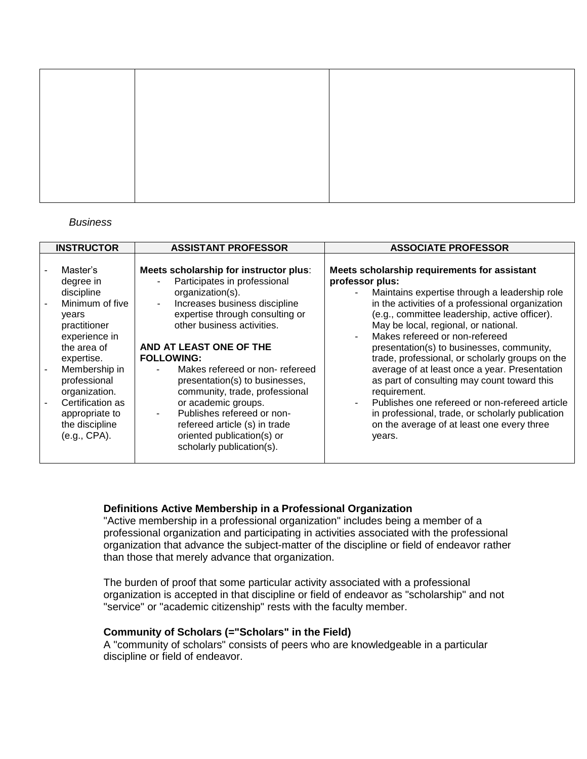#### *Business*

| <b>INSTRUCTOR</b>                                                                                                                                                                                                                                       | <b>ASSISTANT PROFESSOR</b>                                                                                                                                                                                                                                                                                                                                                                                                                                                                                    | <b>ASSOCIATE PROFESSOR</b>                                                                                                                                                                                                                                                                                                                                                                                                                                                                                                                                                                                                                                                    |
|---------------------------------------------------------------------------------------------------------------------------------------------------------------------------------------------------------------------------------------------------------|---------------------------------------------------------------------------------------------------------------------------------------------------------------------------------------------------------------------------------------------------------------------------------------------------------------------------------------------------------------------------------------------------------------------------------------------------------------------------------------------------------------|-------------------------------------------------------------------------------------------------------------------------------------------------------------------------------------------------------------------------------------------------------------------------------------------------------------------------------------------------------------------------------------------------------------------------------------------------------------------------------------------------------------------------------------------------------------------------------------------------------------------------------------------------------------------------------|
| Master's<br>degree in<br>discipline<br>Minimum of five<br>years<br>practitioner<br>experience in<br>the area of<br>expertise.<br>Membership in<br>professional<br>organization.<br>Certification as<br>appropriate to<br>the discipline<br>(e.g., CPA). | Meets scholarship for instructor plus:<br>Participates in professional<br>organization(s).<br>Increases business discipline<br>$\sim$<br>expertise through consulting or<br>other business activities.<br>AND AT LEAST ONE OF THE<br><b>FOLLOWING:</b><br>Makes refereed or non-refereed<br>presentation(s) to businesses,<br>community, trade, professional<br>or academic groups.<br>Publishes refereed or non-<br>refereed article (s) in trade<br>oriented publication(s) or<br>scholarly publication(s). | Meets scholarship requirements for assistant<br>professor plus:<br>Maintains expertise through a leadership role<br>in the activities of a professional organization<br>(e.g., committee leadership, active officer).<br>May be local, regional, or national.<br>Makes refereed or non-refereed<br>presentation(s) to businesses, community,<br>trade, professional, or scholarly groups on the<br>average of at least once a year. Presentation<br>as part of consulting may count toward this<br>requirement.<br>Publishes one refereed or non-refereed article<br>in professional, trade, or scholarly publication<br>on the average of at least one every three<br>years. |
|                                                                                                                                                                                                                                                         |                                                                                                                                                                                                                                                                                                                                                                                                                                                                                                               |                                                                                                                                                                                                                                                                                                                                                                                                                                                                                                                                                                                                                                                                               |

## **Definitions Active Membership in a Professional Organization**

"Active membership in a professional organization" includes being a member of a professional organization and participating in activities associated with the professional organization that advance the subject-matter of the discipline or field of endeavor rather than those that merely advance that organization.

The burden of proof that some particular activity associated with a professional organization is accepted in that discipline or field of endeavor as "scholarship" and not "service" or "academic citizenship" rests with the faculty member.

## **Community of Scholars (="Scholars" in the Field)**

A "community of scholars" consists of peers who are knowledgeable in a particular discipline or field of endeavor.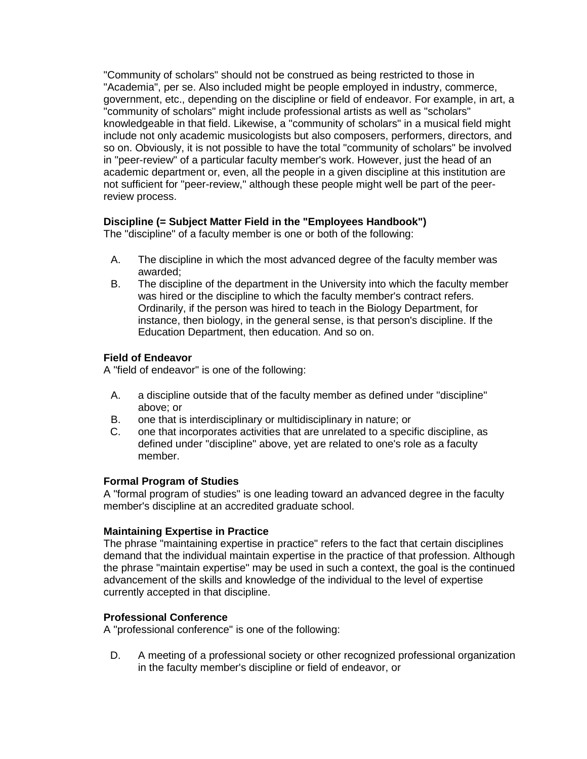"Community of scholars" should not be construed as being restricted to those in "Academia", per se. Also included might be people employed in industry, commerce, government, etc., depending on the discipline or field of endeavor. For example, in art, a "community of scholars" might include professional artists as well as "scholars" knowledgeable in that field. Likewise, a "community of scholars" in a musical field might include not only academic musicologists but also composers, performers, directors, and so on. Obviously, it is not possible to have the total "community of scholars" be involved in "peer-review" of a particular faculty member's work. However, just the head of an academic department or, even, all the people in a given discipline at this institution are not sufficient for "peer-review," although these people might well be part of the peerreview process.

# **Discipline (= Subject Matter Field in the "Employees Handbook")**

The "discipline" of a faculty member is one or both of the following:

- A. The discipline in which the most advanced degree of the faculty member was awarded;
- B. The discipline of the department in the University into which the faculty member was hired or the discipline to which the faculty member's contract refers. Ordinarily, if the person was hired to teach in the Biology Department, for instance, then biology, in the general sense, is that person's discipline. If the Education Department, then education. And so on.

# **Field of Endeavor**

A "field of endeavor" is one of the following:

- A. a discipline outside that of the faculty member as defined under "discipline" above; or
- B. one that is interdisciplinary or multidisciplinary in nature; or
- C. one that incorporates activities that are unrelated to a specific discipline, as defined under "discipline" above, yet are related to one's role as a faculty member.

# **Formal Program of Studies**

A "formal program of studies" is one leading toward an advanced degree in the faculty member's discipline at an accredited graduate school.

## **Maintaining Expertise in Practice**

The phrase "maintaining expertise in practice" refers to the fact that certain disciplines demand that the individual maintain expertise in the practice of that profession. Although the phrase "maintain expertise" may be used in such a context, the goal is the continued advancement of the skills and knowledge of the individual to the level of expertise currently accepted in that discipline.

# **Professional Conference**

A "professional conference" is one of the following:

D. A meeting of a professional society or other recognized professional organization in the faculty member's discipline or field of endeavor, or